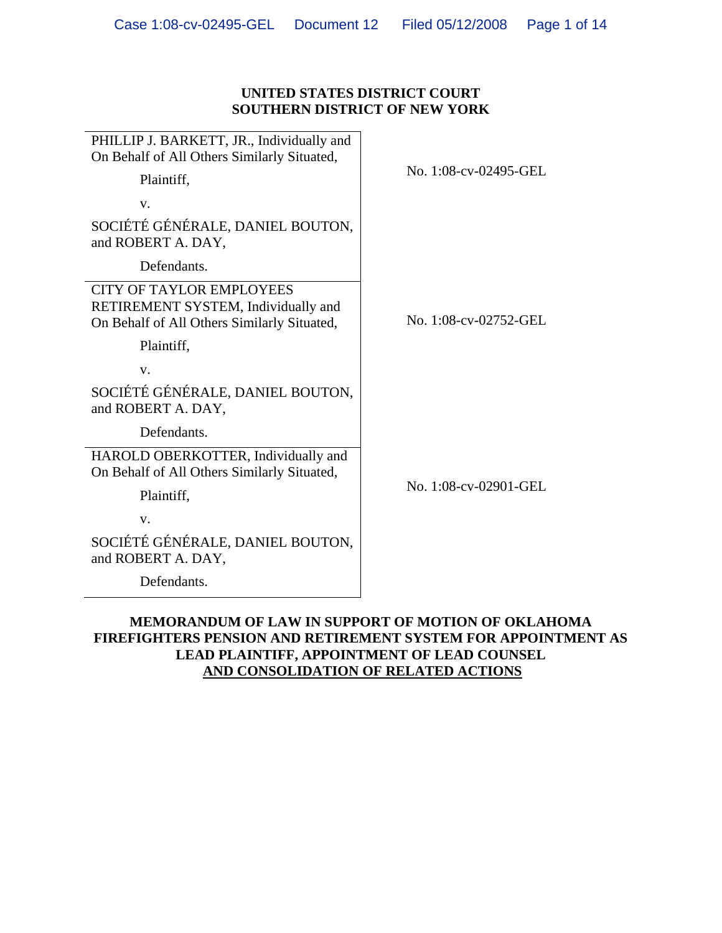## **UNITED STATES DISTRICT COURT SOUTHERN DISTRICT OF NEW YORK**

| PHILLIP J. BARKETT, JR., Individually and<br>On Behalf of All Others Similarly Situated,                              |                       |
|-----------------------------------------------------------------------------------------------------------------------|-----------------------|
| Plaintiff,                                                                                                            | No. 1:08-cv-02495-GEL |
| V.                                                                                                                    |                       |
| SOCIÉTÉ GÉNÉRALE, DANIEL BOUTON,<br>and ROBERT A. DAY,                                                                |                       |
| Defendants.                                                                                                           |                       |
| <b>CITY OF TAYLOR EMPLOYEES</b><br>RETIREMENT SYSTEM, Individually and<br>On Behalf of All Others Similarly Situated, | No. 1:08-cv-02752-GEL |
| Plaintiff,                                                                                                            |                       |
| V.                                                                                                                    |                       |
| SOCIÉTÉ GÉNÉRALE, DANIEL BOUTON,<br>and ROBERT A. DAY,                                                                |                       |
| Defendants.                                                                                                           |                       |
| HAROLD OBERKOTTER, Individually and<br>On Behalf of All Others Similarly Situated,                                    | No. 1:08-cv-02901-GEL |
| Plaintiff,                                                                                                            |                       |
| V.                                                                                                                    |                       |
| SOCIÉTÉ GÉNÉRALE, DANIEL BOUTON,<br>and ROBERT A. DAY,                                                                |                       |
| Defendants.                                                                                                           |                       |
|                                                                                                                       |                       |

# **MEMORANDUM OF LAW IN SUPPORT OF MOTION OF OKLAHOMA FIREFIGHTERS PENSION AND RETIREMENT SYSTEM FOR APPOINTMENT AS LEAD PLAINTIFF, APPOINTMENT OF LEAD COUNSEL AND CONSOLIDATION OF RELATED ACTIONS**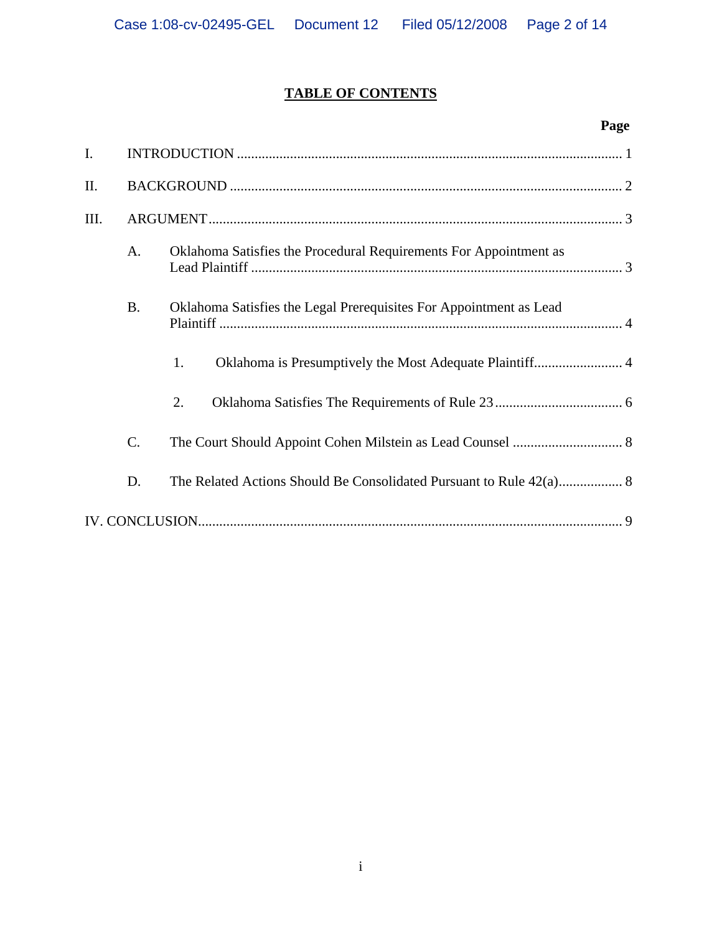# **TABLE OF CONTENTS**

# **Page**

| $\mathbf{I}$ . |           |                                                                    |  |  |
|----------------|-----------|--------------------------------------------------------------------|--|--|
| Π.             |           |                                                                    |  |  |
| III.           |           |                                                                    |  |  |
|                | A.        | Oklahoma Satisfies the Procedural Requirements For Appointment as  |  |  |
|                | <b>B.</b> | Oklahoma Satisfies the Legal Prerequisites For Appointment as Lead |  |  |
|                |           | Oklahoma is Presumptively the Most Adequate Plaintiff 4<br>1.      |  |  |
|                |           | 2.                                                                 |  |  |
|                | $C$ .     |                                                                    |  |  |
|                | D.        |                                                                    |  |  |
|                |           |                                                                    |  |  |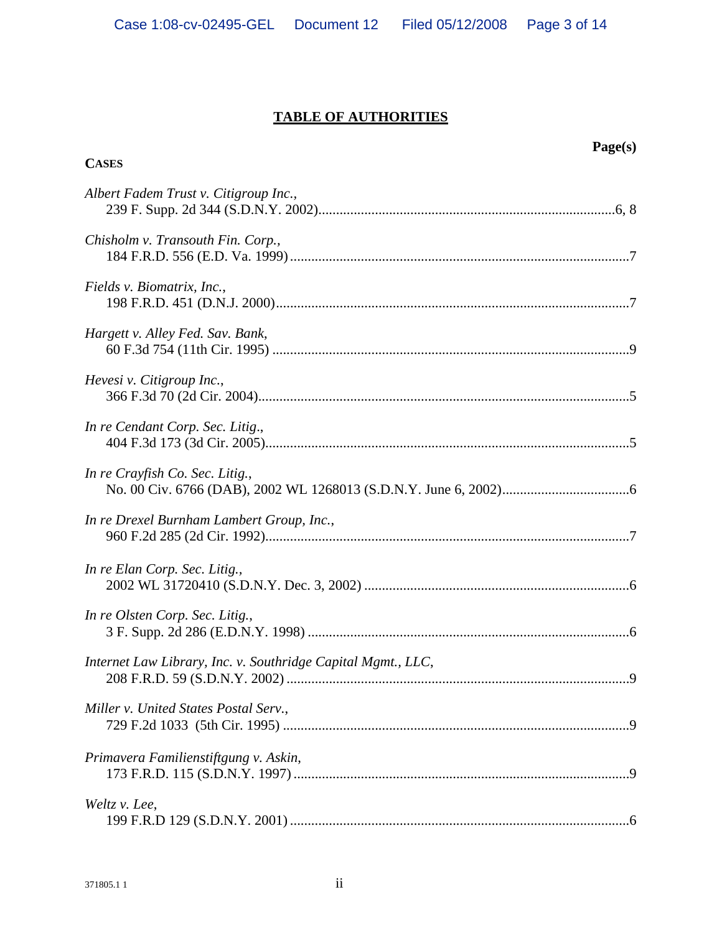# **TABLE OF AUTHORITIES**

| <b>CASES</b>                                                 | Page(s) |
|--------------------------------------------------------------|---------|
|                                                              |         |
| Albert Fadem Trust v. Citigroup Inc.,                        |         |
| Chisholm v. Transouth Fin. Corp.,                            |         |
| Fields v. Biomatrix, Inc.,                                   |         |
| Hargett v. Alley Fed. Sav. Bank,                             |         |
| Hevesi v. Citigroup Inc.,                                    |         |
| In re Cendant Corp. Sec. Litig.,                             |         |
| In re Crayfish Co. Sec. Litig.,                              |         |
| In re Drexel Burnham Lambert Group, Inc.,                    |         |
| In re Elan Corp. Sec. Litig.,                                |         |
| In re Olsten Corp. Sec. Litig.,                              |         |
| Internet Law Library, Inc. v. Southridge Capital Mgmt., LLC, |         |
| Miller v. United States Postal Serv.,                        |         |
| Primavera Familienstiftgung v. Askin,                        |         |
| Weltz v. Lee,                                                |         |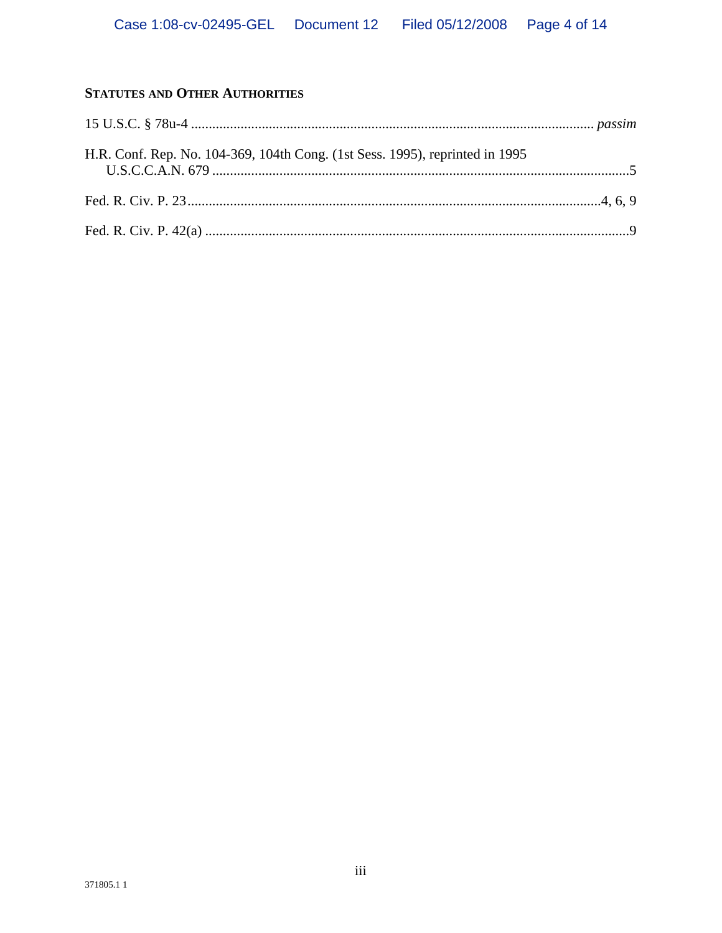# STATUTES AND OTHER AUTHORITIES

| H.R. Conf. Rep. No. 104-369, 104th Cong. (1st Sess. 1995), reprinted in 1995 |  |
|------------------------------------------------------------------------------|--|
|                                                                              |  |
|                                                                              |  |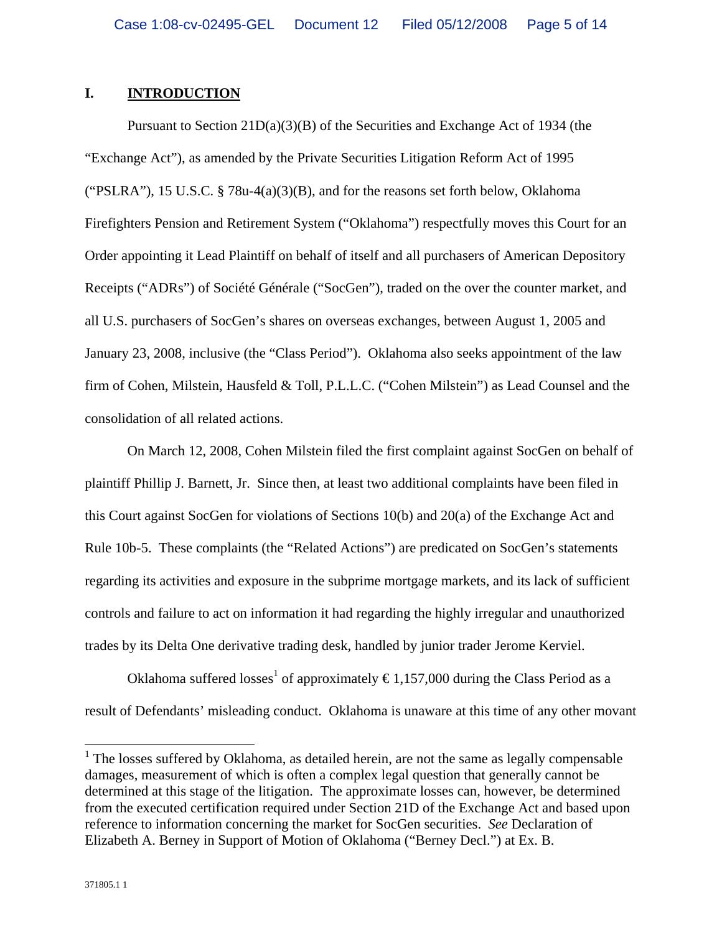## **I. INTRODUCTION**

Pursuant to Section 21D(a)(3)(B) of the Securities and Exchange Act of 1934 (the "Exchange Act"), as amended by the Private Securities Litigation Reform Act of 1995 ("PSLRA"), 15 U.S.C. § 78u-4(a)(3)(B), and for the reasons set forth below, Oklahoma Firefighters Pension and Retirement System ("Oklahoma") respectfully moves this Court for an Order appointing it Lead Plaintiff on behalf of itself and all purchasers of American Depository Receipts ("ADRs") of Société Générale ("SocGen"), traded on the over the counter market, and all U.S. purchasers of SocGen's shares on overseas exchanges, between August 1, 2005 and January 23, 2008, inclusive (the "Class Period"). Oklahoma also seeks appointment of the law firm of Cohen, Milstein, Hausfeld & Toll, P.L.L.C. ("Cohen Milstein") as Lead Counsel and the consolidation of all related actions.

On March 12, 2008, Cohen Milstein filed the first complaint against SocGen on behalf of plaintiff Phillip J. Barnett, Jr. Since then, at least two additional complaints have been filed in this Court against SocGen for violations of Sections 10(b) and 20(a) of the Exchange Act and Rule 10b-5. These complaints (the "Related Actions") are predicated on SocGen's statements regarding its activities and exposure in the subprime mortgage markets, and its lack of sufficient controls and failure to act on information it had regarding the highly irregular and unauthorized trades by its Delta One derivative trading desk, handled by junior trader Jerome Kerviel.

Oklahoma suffered losses<sup>1</sup> of approximately  $\epsilon$ 1,157,000 during the Class Period as a result of Defendants' misleading conduct. Oklahoma is unaware at this time of any other movant

<u>.</u>

 $<sup>1</sup>$  The losses suffered by Oklahoma, as detailed herein, are not the same as legally compensable</sup> damages, measurement of which is often a complex legal question that generally cannot be determined at this stage of the litigation. The approximate losses can, however, be determined from the executed certification required under Section 21D of the Exchange Act and based upon reference to information concerning the market for SocGen securities. *See* Declaration of Elizabeth A. Berney in Support of Motion of Oklahoma ("Berney Decl.") at Ex. B.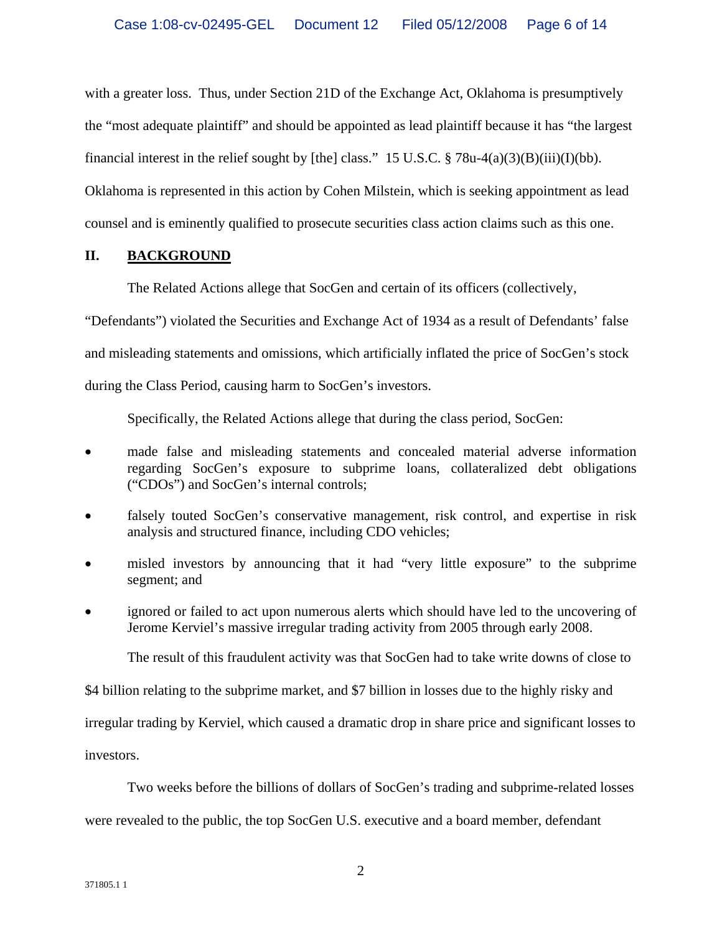with a greater loss. Thus, under Section 21D of the Exchange Act, Oklahoma is presumptively the "most adequate plaintiff" and should be appointed as lead plaintiff because it has "the largest financial interest in the relief sought by [the] class." 15 U.S.C.  $\S 78u-4(a)(3)(B)(iii)(I)(bb)$ . Oklahoma is represented in this action by Cohen Milstein, which is seeking appointment as lead counsel and is eminently qualified to prosecute securities class action claims such as this one.

## **II. BACKGROUND**

The Related Actions allege that SocGen and certain of its officers (collectively,

"Defendants") violated the Securities and Exchange Act of 1934 as a result of Defendants' false and misleading statements and omissions, which artificially inflated the price of SocGen's stock during the Class Period, causing harm to SocGen's investors.

Specifically, the Related Actions allege that during the class period, SocGen:

- made false and misleading statements and concealed material adverse information regarding SocGen's exposure to subprime loans, collateralized debt obligations ("CDOs") and SocGen's internal controls;
- falsely touted SocGen's conservative management, risk control, and expertise in risk analysis and structured finance, including CDO vehicles;
- misled investors by announcing that it had "very little exposure" to the subprime segment; and
- ignored or failed to act upon numerous alerts which should have led to the uncovering of Jerome Kerviel's massive irregular trading activity from 2005 through early 2008.

The result of this fraudulent activity was that SocGen had to take write downs of close to

\$4 billion relating to the subprime market, and \$7 billion in losses due to the highly risky and

irregular trading by Kerviel, which caused a dramatic drop in share price and significant losses to

investors.

Two weeks before the billions of dollars of SocGen's trading and subprime-related losses

were revealed to the public, the top SocGen U.S. executive and a board member, defendant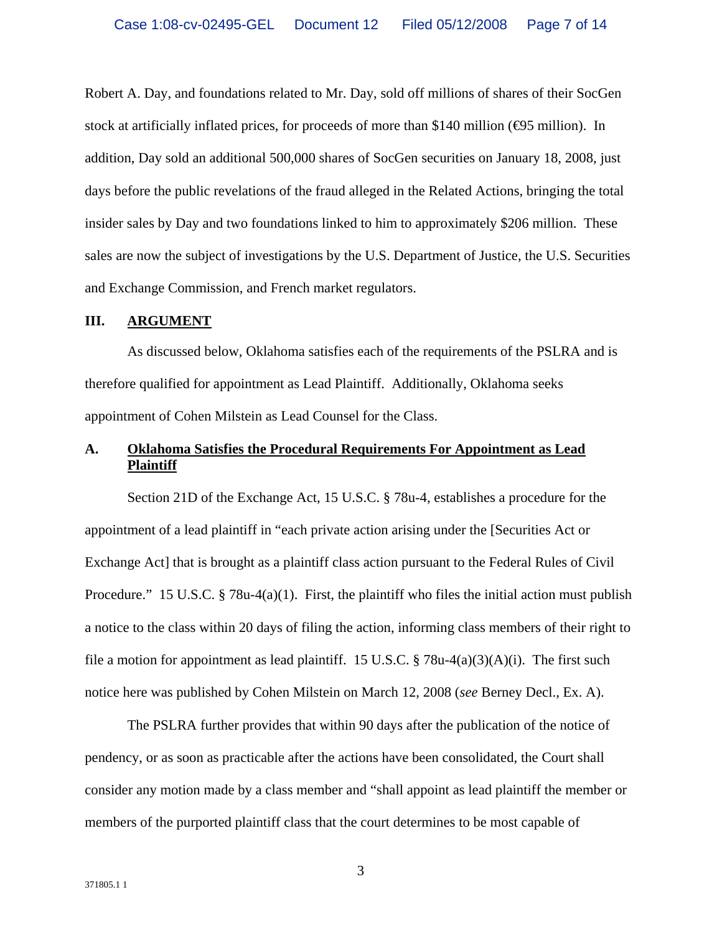Robert A. Day, and foundations related to Mr. Day, sold off millions of shares of their SocGen stock at artificially inflated prices, for proceeds of more than \$140 million ( $\bigoplus$ 5 million). In addition, Day sold an additional 500,000 shares of SocGen securities on January 18, 2008, just days before the public revelations of the fraud alleged in the Related Actions, bringing the total insider sales by Day and two foundations linked to him to approximately \$206 million. These sales are now the subject of investigations by the U.S. Department of Justice, the U.S. Securities and Exchange Commission, and French market regulators.

#### **III. ARGUMENT**

As discussed below, Oklahoma satisfies each of the requirements of the PSLRA and is therefore qualified for appointment as Lead Plaintiff. Additionally, Oklahoma seeks appointment of Cohen Milstein as Lead Counsel for the Class.

# **A. Oklahoma Satisfies the Procedural Requirements For Appointment as Lead Plaintiff**

Section 21D of the Exchange Act, 15 U.S.C. § 78u-4, establishes a procedure for the appointment of a lead plaintiff in "each private action arising under the [Securities Act or Exchange Act] that is brought as a plaintiff class action pursuant to the Federal Rules of Civil Procedure." 15 U.S.C.  $\S$  78u-4(a)(1). First, the plaintiff who files the initial action must publish a notice to the class within 20 days of filing the action, informing class members of their right to file a motion for appointment as lead plaintiff. 15 U.S.C. § 78u-4(a)(3)(A)(i). The first such notice here was published by Cohen Milstein on March 12, 2008 (*see* Berney Decl., Ex. A).

The PSLRA further provides that within 90 days after the publication of the notice of pendency, or as soon as practicable after the actions have been consolidated, the Court shall consider any motion made by a class member and "shall appoint as lead plaintiff the member or members of the purported plaintiff class that the court determines to be most capable of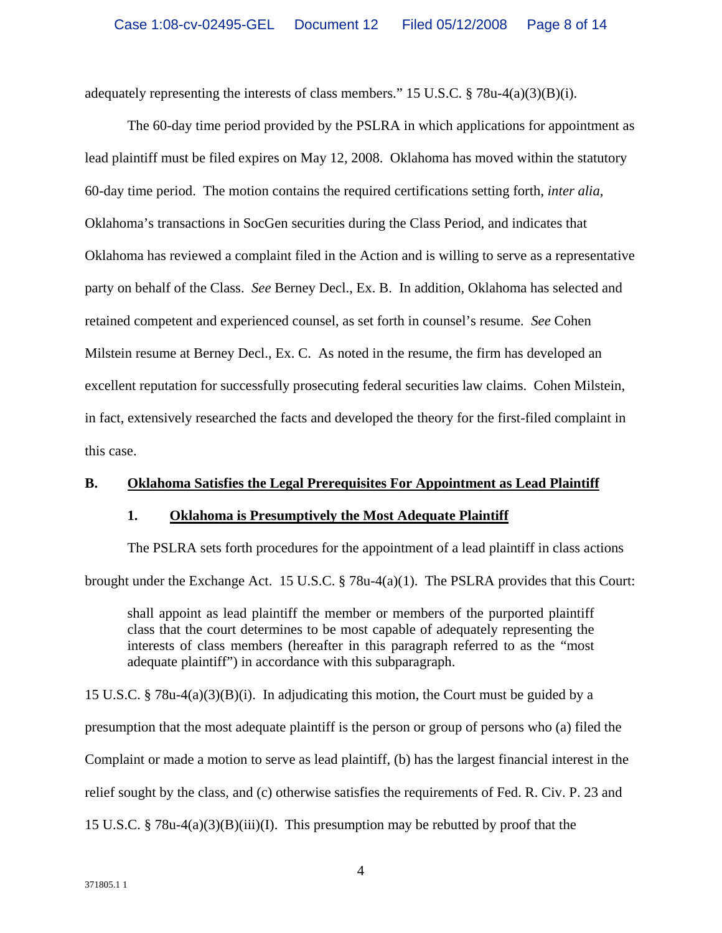adequately representing the interests of class members." 15 U.S.C.  $\S 78u-4(a)(3)(B)(i)$ .

The 60-day time period provided by the PSLRA in which applications for appointment as lead plaintiff must be filed expires on May 12, 2008. Oklahoma has moved within the statutory 60-day time period. The motion contains the required certifications setting forth, *inter alia*, Oklahoma's transactions in SocGen securities during the Class Period, and indicates that Oklahoma has reviewed a complaint filed in the Action and is willing to serve as a representative party on behalf of the Class. *See* Berney Decl., Ex. B. In addition, Oklahoma has selected and retained competent and experienced counsel, as set forth in counsel's resume. *See* Cohen Milstein resume at Berney Decl., Ex. C. As noted in the resume, the firm has developed an excellent reputation for successfully prosecuting federal securities law claims. Cohen Milstein, in fact, extensively researched the facts and developed the theory for the first-filed complaint in this case.

## **B. Oklahoma Satisfies the Legal Prerequisites For Appointment as Lead Plaintiff**

## **1. Oklahoma is Presumptively the Most Adequate Plaintiff**

The PSLRA sets forth procedures for the appointment of a lead plaintiff in class actions brought under the Exchange Act. 15 U.S.C. § 78u-4(a)(1). The PSLRA provides that this Court:

shall appoint as lead plaintiff the member or members of the purported plaintiff class that the court determines to be most capable of adequately representing the interests of class members (hereafter in this paragraph referred to as the "most adequate plaintiff") in accordance with this subparagraph.

15 U.S.C. § 78u-4(a)(3)(B)(i). In adjudicating this motion, the Court must be guided by a presumption that the most adequate plaintiff is the person or group of persons who (a) filed the Complaint or made a motion to serve as lead plaintiff, (b) has the largest financial interest in the relief sought by the class, and (c) otherwise satisfies the requirements of Fed. R. Civ. P. 23 and 15 U.S.C. § 78u-4(a)(3)(B)(iii)(I). This presumption may be rebutted by proof that the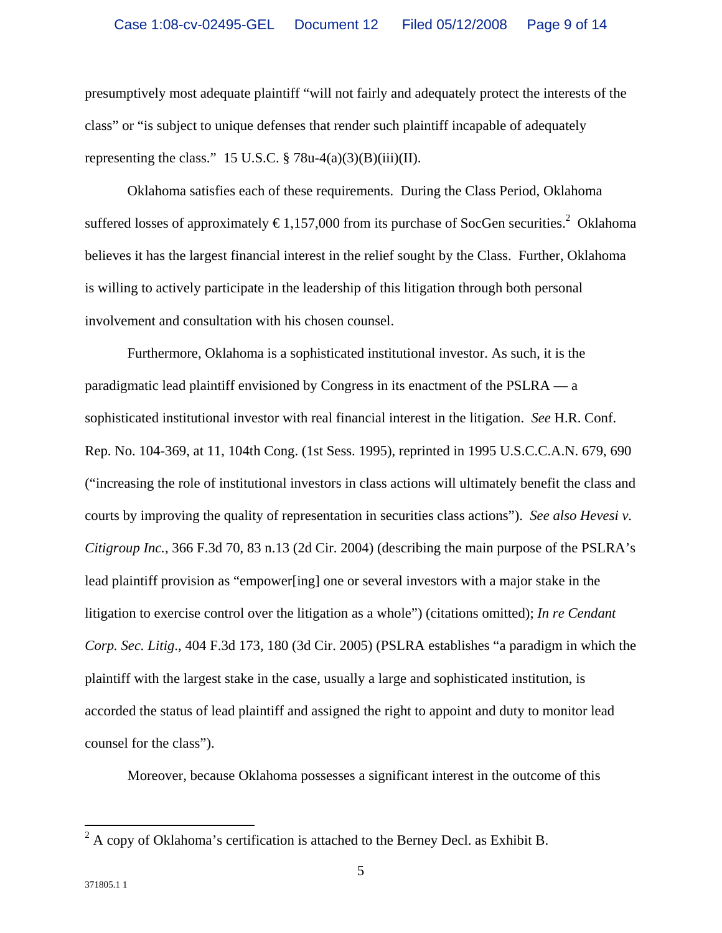presumptively most adequate plaintiff "will not fairly and adequately protect the interests of the class" or "is subject to unique defenses that render such plaintiff incapable of adequately representing the class." 15 U.S.C.  $\frac{6}{9}$  78u-4(a)(3)(B)(iii)(II).

Oklahoma satisfies each of these requirements. During the Class Period, Oklahoma suffered losses of approximately  $\epsilon$ 1,157,000 from its purchase of SocGen securities.<sup>2</sup> Oklahoma believes it has the largest financial interest in the relief sought by the Class. Further, Oklahoma is willing to actively participate in the leadership of this litigation through both personal involvement and consultation with his chosen counsel.

Furthermore, Oklahoma is a sophisticated institutional investor. As such, it is the paradigmatic lead plaintiff envisioned by Congress in its enactment of the PSLRA — a sophisticated institutional investor with real financial interest in the litigation. *See* H.R. Conf. Rep. No. 104-369, at 11, 104th Cong. (1st Sess. 1995), reprinted in 1995 U.S.C.C.A.N. 679, 690 ("increasing the role of institutional investors in class actions will ultimately benefit the class and courts by improving the quality of representation in securities class actions"). *See also Hevesi v. Citigroup Inc.*, 366 F.3d 70, 83 n.13 (2d Cir. 2004) (describing the main purpose of the PSLRA's lead plaintiff provision as "empower[ing] one or several investors with a major stake in the litigation to exercise control over the litigation as a whole") (citations omitted); *In re Cendant Corp. Sec. Litig*., 404 F.3d 173, 180 (3d Cir. 2005) (PSLRA establishes "a paradigm in which the plaintiff with the largest stake in the case, usually a large and sophisticated institution, is accorded the status of lead plaintiff and assigned the right to appoint and duty to monitor lead counsel for the class").

Moreover, because Oklahoma possesses a significant interest in the outcome of this

<sup>&</sup>lt;sup>2</sup> A copy of Oklahoma's certification is attached to the Berney Decl. as Exhibit B.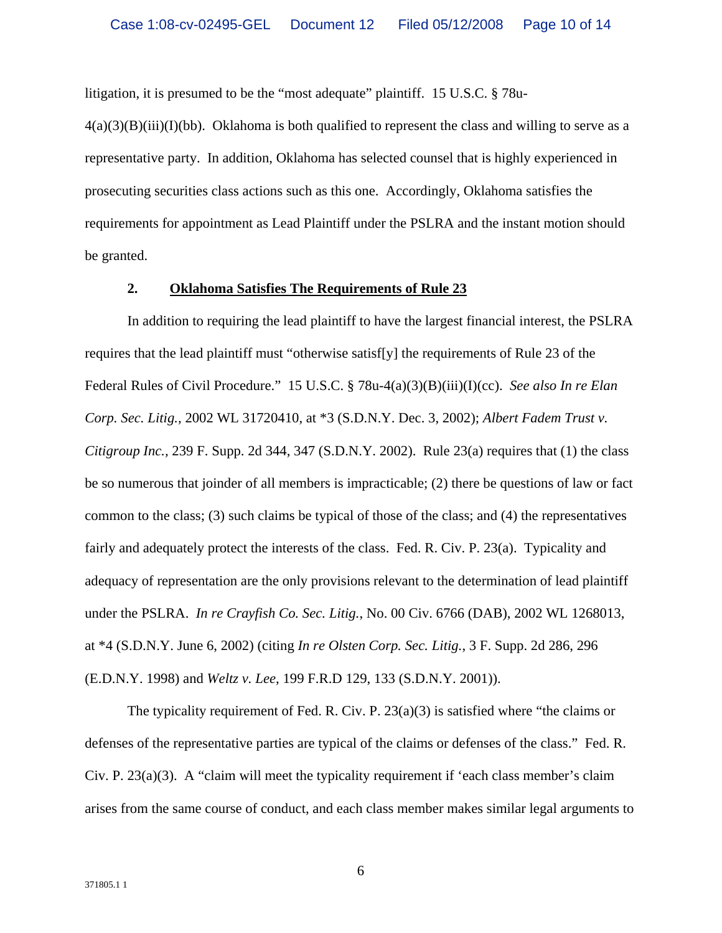litigation, it is presumed to be the "most adequate" plaintiff. 15 U.S.C. § 78u-

 $4(a)(3)(B)(iii)(I)(bb)$ . Oklahoma is both qualified to represent the class and willing to serve as a representative party. In addition, Oklahoma has selected counsel that is highly experienced in prosecuting securities class actions such as this one. Accordingly, Oklahoma satisfies the requirements for appointment as Lead Plaintiff under the PSLRA and the instant motion should be granted.

#### **2. Oklahoma Satisfies The Requirements of Rule 23**

In addition to requiring the lead plaintiff to have the largest financial interest, the PSLRA requires that the lead plaintiff must "otherwise satisf[y] the requirements of Rule 23 of the Federal Rules of Civil Procedure." 15 U.S.C. § 78u-4(a)(3)(B)(iii)(I)(cc). *See also In re Elan Corp. Sec. Litig.,* 2002 WL 31720410, at \*3 (S.D.N.Y. Dec. 3, 2002); *Albert Fadem Trust v. Citigroup Inc.,* 239 F. Supp. 2d 344, 347 (S.D.N.Y. 2002). Rule 23(a) requires that (1) the class be so numerous that joinder of all members is impracticable; (2) there be questions of law or fact common to the class; (3) such claims be typical of those of the class; and (4) the representatives fairly and adequately protect the interests of the class. Fed. R. Civ. P. 23(a). Typicality and adequacy of representation are the only provisions relevant to the determination of lead plaintiff under the PSLRA. *In re Crayfish Co. Sec. Litig.*, No. 00 Civ. 6766 (DAB), 2002 WL 1268013, at \*4 (S.D.N.Y. June 6, 2002) (citing *In re Olsten Corp. Sec. Litig.*, 3 F. Supp. 2d 286, 296 (E.D.N.Y. 1998) and *Weltz v. Lee*, 199 F.R.D 129, 133 (S.D.N.Y. 2001)).

The typicality requirement of Fed. R. Civ. P. 23(a)(3) is satisfied where "the claims or defenses of the representative parties are typical of the claims or defenses of the class." Fed. R. Civ. P.  $23(a)(3)$ . A "claim will meet the typicality requirement if 'each class member's claim arises from the same course of conduct, and each class member makes similar legal arguments to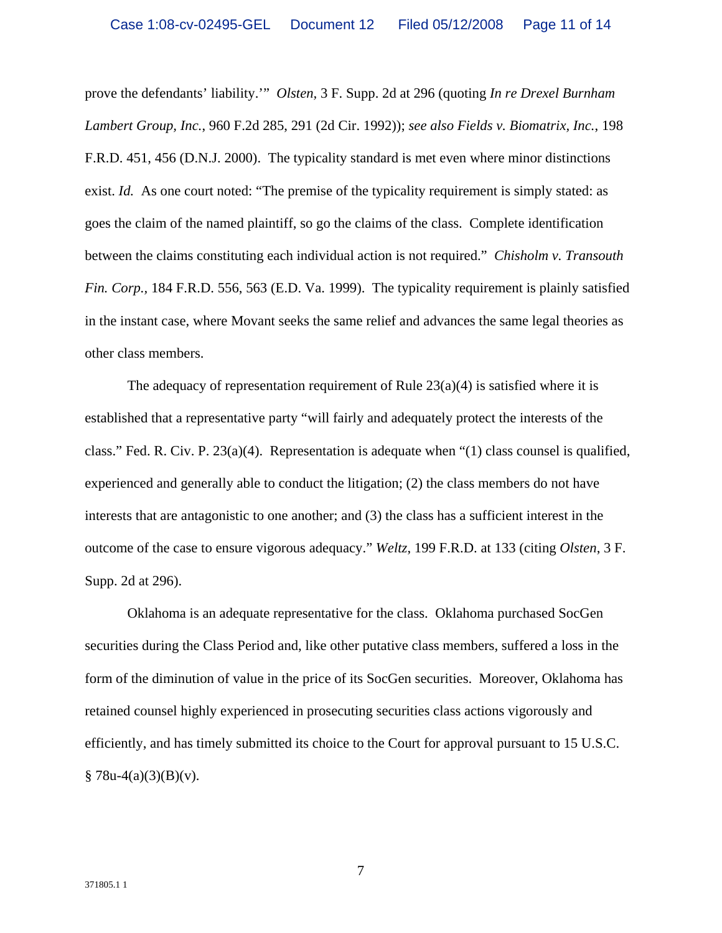prove the defendants' liability.'" *Olsten,* 3 F. Supp. 2d at 296 (quoting *In re Drexel Burnham Lambert Group, Inc.*, 960 F.2d 285, 291 (2d Cir. 1992)); *see also Fields v. Biomatrix, Inc.*, 198 F.R.D. 451, 456 (D.N.J. 2000). The typicality standard is met even where minor distinctions exist. *Id.* As one court noted: "The premise of the typicality requirement is simply stated: as goes the claim of the named plaintiff, so go the claims of the class. Complete identification between the claims constituting each individual action is not required." *Chisholm v. Transouth Fin. Corp.,* 184 F.R.D. 556, 563 (E.D. Va. 1999). The typicality requirement is plainly satisfied in the instant case, where Movant seeks the same relief and advances the same legal theories as other class members.

The adequacy of representation requirement of Rule  $23(a)(4)$  is satisfied where it is established that a representative party "will fairly and adequately protect the interests of the class." Fed. R. Civ. P.  $23(a)(4)$ . Representation is adequate when "(1) class counsel is qualified, experienced and generally able to conduct the litigation; (2) the class members do not have interests that are antagonistic to one another; and (3) the class has a sufficient interest in the outcome of the case to ensure vigorous adequacy." *Weltz*, 199 F.R.D. at 133 (citing *Olsten*, 3 F. Supp. 2d at 296).

Oklahoma is an adequate representative for the class. Oklahoma purchased SocGen securities during the Class Period and, like other putative class members, suffered a loss in the form of the diminution of value in the price of its SocGen securities. Moreover, Oklahoma has retained counsel highly experienced in prosecuting securities class actions vigorously and efficiently, and has timely submitted its choice to the Court for approval pursuant to 15 U.S.C.  $§ 78u-4(a)(3)(B)(v).$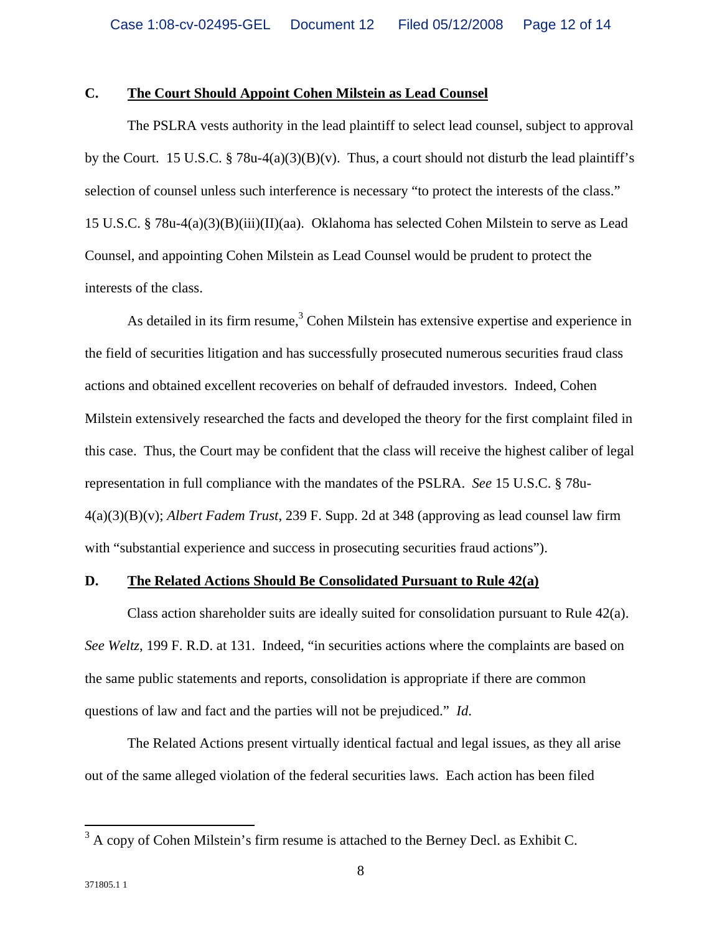# **C. The Court Should Appoint Cohen Milstein as Lead Counsel**

The PSLRA vests authority in the lead plaintiff to select lead counsel, subject to approval by the Court. 15 U.S.C. § 78u-4(a)(3)(B)(v). Thus, a court should not disturb the lead plaintiff's selection of counsel unless such interference is necessary "to protect the interests of the class." 15 U.S.C. § 78u-4(a)(3)(B)(iii)(II)(aa). Oklahoma has selected Cohen Milstein to serve as Lead Counsel, and appointing Cohen Milstein as Lead Counsel would be prudent to protect the interests of the class.

As detailed in its firm resume, $3$  Cohen Milstein has extensive expertise and experience in the field of securities litigation and has successfully prosecuted numerous securities fraud class actions and obtained excellent recoveries on behalf of defrauded investors. Indeed, Cohen Milstein extensively researched the facts and developed the theory for the first complaint filed in this case. Thus, the Court may be confident that the class will receive the highest caliber of legal representation in full compliance with the mandates of the PSLRA. *See* 15 U.S.C. § 78u-4(a)(3)(B)(v); *Albert Fadem Trust*, 239 F. Supp. 2d at 348 (approving as lead counsel law firm with "substantial experience and success in prosecuting securities fraud actions").

#### **D. The Related Actions Should Be Consolidated Pursuant to Rule 42(a)**

Class action shareholder suits are ideally suited for consolidation pursuant to Rule  $42(a)$ . *See Weltz*, 199 F. R.D. at 131. Indeed, "in securities actions where the complaints are based on the same public statements and reports, consolidation is appropriate if there are common questions of law and fact and the parties will not be prejudiced." *Id*.

The Related Actions present virtually identical factual and legal issues, as they all arise out of the same alleged violation of the federal securities laws. Each action has been filed

 $\frac{3}{3}$  A copy of Cohen Milstein's firm resume is attached to the Berney Decl. as Exhibit C.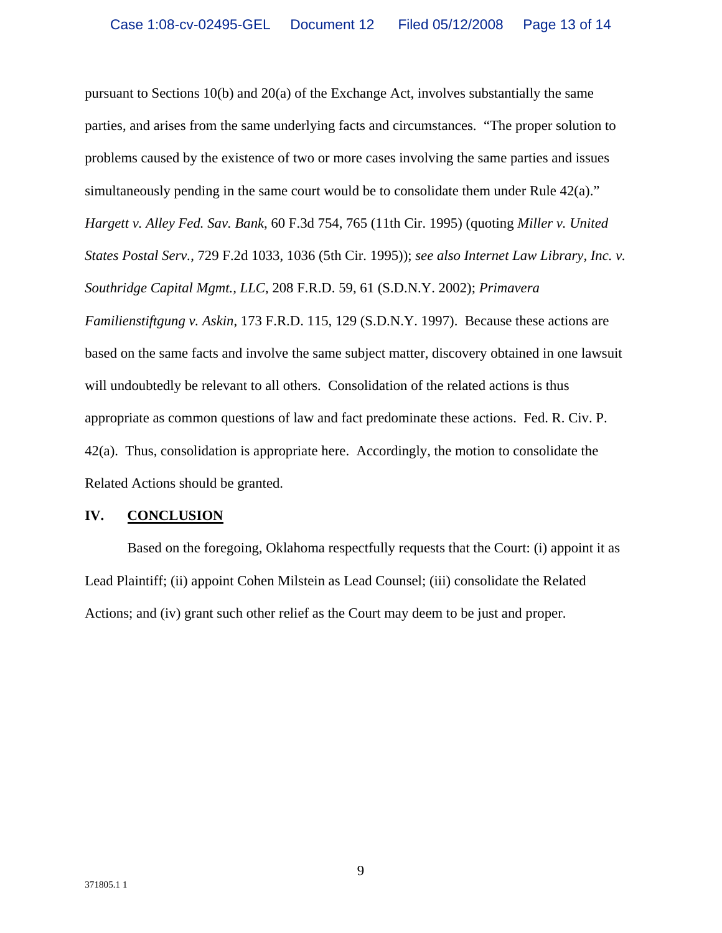pursuant to Sections 10(b) and 20(a) of the Exchange Act, involves substantially the same parties, and arises from the same underlying facts and circumstances. "The proper solution to problems caused by the existence of two or more cases involving the same parties and issues simultaneously pending in the same court would be to consolidate them under Rule 42(a)." *Hargett v. Alley Fed. Sav. Bank*, 60 F.3d 754, 765 (11th Cir. 1995) (quoting *Miller v. United States Postal Serv.*, 729 F.2d 1033, 1036 (5th Cir. 1995)); *see also Internet Law Library, Inc. v. Southridge Capital Mgmt., LLC*, 208 F.R.D. 59, 61 (S.D.N.Y. 2002); *Primavera Familienstiftgung v. Askin*, 173 F.R.D. 115, 129 (S.D.N.Y. 1997). Because these actions are based on the same facts and involve the same subject matter, discovery obtained in one lawsuit will undoubtedly be relevant to all others. Consolidation of the related actions is thus appropriate as common questions of law and fact predominate these actions. Fed. R. Civ. P. 42(a). Thus, consolidation is appropriate here. Accordingly, the motion to consolidate the Related Actions should be granted.

## **IV. CONCLUSION**

Based on the foregoing, Oklahoma respectfully requests that the Court: (i) appoint it as Lead Plaintiff; (ii) appoint Cohen Milstein as Lead Counsel; (iii) consolidate the Related Actions; and (iv) grant such other relief as the Court may deem to be just and proper.